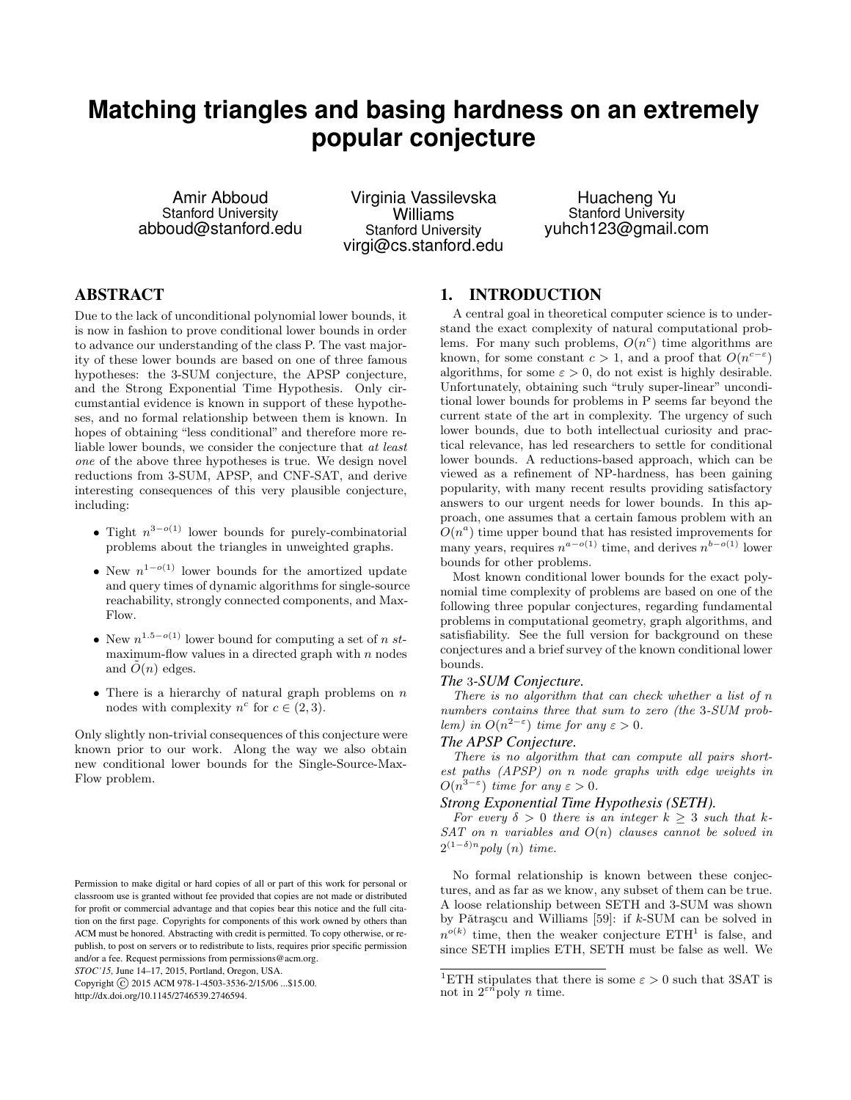# **Matching triangles and basing hardness on an extremely popular conjecture**

Amir Abboud Stanford University abboud@stanford.edu

Virginia Vassilevska Williams Stanford University virgi@cs.stanford.edu

Huacheng Yu Stanford University yuhch123@gmail.com

# ABSTRACT

Due to the lack of unconditional polynomial lower bounds, it is now in fashion to prove conditional lower bounds in order to advance our understanding of the class P. The vast majority of these lower bounds are based on one of three famous hypotheses: the 3-SUM conjecture, the APSP conjecture, and the Strong Exponential Time Hypothesis. Only circumstantial evidence is known in support of these hypotheses, and no formal relationship between them is known. In hopes of obtaining "less conditional" and therefore more reliable lower bounds, we consider the conjecture that at least one of the above three hypotheses is true. We design novel reductions from 3-SUM, APSP, and CNF-SAT, and derive interesting consequences of this very plausible conjecture, including:

- Tight  $n^{3-o(1)}$  lower bounds for purely-combinatorial problems about the triangles in unweighted graphs.
- New  $n^{1-o(1)}$  lower bounds for the amortized update and query times of dynamic algorithms for single-source reachability, strongly connected components, and Max-Flow.
- New  $n^{1.5-o(1)}$  lower bound for computing a set of n stmaximum-flow values in a directed graph with  $n$  nodes and  $O(n)$  edges.
- There is a hierarchy of natural graph problems on  $n$ nodes with complexity  $n^c$  for  $c \in (2,3)$ .

Only slightly non-trivial consequences of this conjecture were known prior to our work. Along the way we also obtain new conditional lower bounds for the Single-Source-Max-Flow problem.

*STOC'15,* June 14–17, 2015, Portland, Oregon, USA.

Copyright (C) 2015 ACM 978-1-4503-3536-2/15/06 ... \$15.00. http://dx.doi.org/10.1145/2746539.2746594.

# 1. INTRODUCTION

A central goal in theoretical computer science is to understand the exact complexity of natural computational problems. For many such problems,  $O(n^c)$  time algorithms are known, for some constant  $c > 1$ , and a proof that  $O(n^{c-\epsilon})$ algorithms, for some  $\varepsilon > 0$ , do not exist is highly desirable. Unfortunately, obtaining such "truly super-linear" unconditional lower bounds for problems in P seems far beyond the current state of the art in complexity. The urgency of such lower bounds, due to both intellectual curiosity and practical relevance, has led researchers to settle for conditional lower bounds. A reductions-based approach, which can be viewed as a refinement of NP-hardness, has been gaining popularity, with many recent results providing satisfactory answers to our urgent needs for lower bounds. In this approach, one assumes that a certain famous problem with an  $O(n^a)$  time upper bound that has resisted improvements for many years, requires  $n^{a-o(1)}$  time, and derives  $n^{b-o(1)}$  lower bounds for other problems.

Most known conditional lower bounds for the exact polynomial time complexity of problems are based on one of the following three popular conjectures, regarding fundamental problems in computational geometry, graph algorithms, and satisfiability. See the full version for background on these conjectures and a brief survey of the known conditional lower bounds.

### *The* 3*-SUM Conjecture.*

There is no algorithm that can check whether a list of  $n$ numbers contains three that sum to zero (the 3-SUM problem) in  $O(n^{2-\epsilon})$  time for any  $\epsilon > 0$ .

# *The APSP Conjecture.*

There is no algorithm that can compute all pairs shortest paths (APSP) on n node graphs with edge weights in  $O(n^{3-\varepsilon})$  time for any  $\varepsilon > 0$ .

## *Strong Exponential Time Hypothesis (SETH).*

For every  $\delta > 0$  there is an integer  $k > 3$  such that k- $SAT$  on n variables and  $O(n)$  clauses cannot be solved in  $2^{(1-\delta)n}$  poly  $(n)$  time.

No formal relationship is known between these conjectures, and as far as we know, any subset of them can be true. A loose relationship between SETH and 3-SUM was shown by Pǎtrașcu and Williams [59]: if  $k$ -SUM can be solved in  $n^{o(k)}$  time, then the weaker conjecture  $\mathrm{ETH}^1$  is false, and since SETH implies ETH, SETH must be false as well. We

Permission to make digital or hard copies of all or part of this work for personal or classroom use is granted without fee provided that copies are not made or distributed for profit or commercial advantage and that copies bear this notice and the full citation on the first page. Copyrights for components of this work owned by others than ACM must be honored. Abstracting with credit is permitted. To copy otherwise, or republish, to post on servers or to redistribute to lists, requires prior specific permission and/or a fee. Request permissions from permissions@acm.org.

<sup>&</sup>lt;sup>1</sup>ETH stipulates that there is some  $\varepsilon > 0$  such that 3SAT is not in  $2^{\varepsilon n}$  poly *n* time.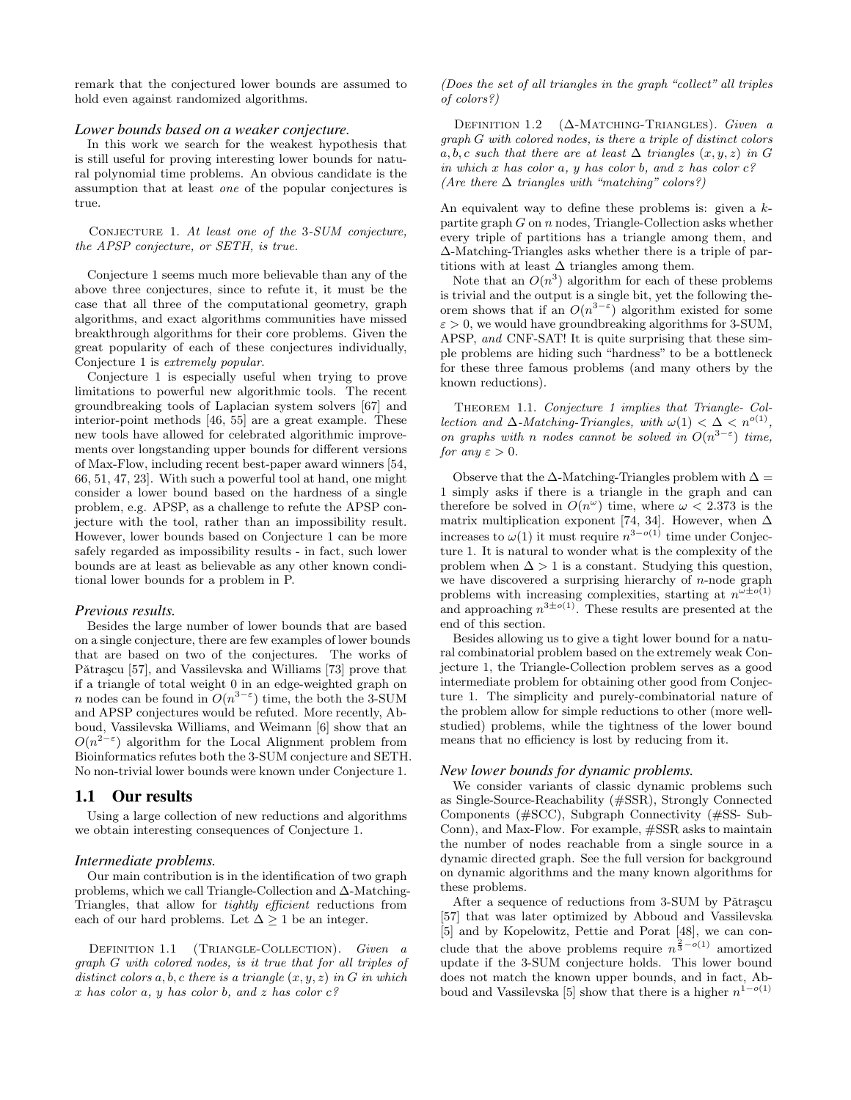remark that the conjectured lower bounds are assumed to hold even against randomized algorithms.

### *Lower bounds based on a weaker conjecture.*

In this work we search for the weakest hypothesis that is still useful for proving interesting lower bounds for natural polynomial time problems. An obvious candidate is the assumption that at least one of the popular conjectures is true.

CONJECTURE 1. At least one of the 3-SUM conjecture, the APSP conjecture, or SETH, is true.

Conjecture 1 seems much more believable than any of the above three conjectures, since to refute it, it must be the case that all three of the computational geometry, graph algorithms, and exact algorithms communities have missed breakthrough algorithms for their core problems. Given the great popularity of each of these conjectures individually, Conjecture 1 is extremely popular.

Conjecture 1 is especially useful when trying to prove limitations to powerful new algorithmic tools. The recent groundbreaking tools of Laplacian system solvers [67] and interior-point methods [46, 55] are a great example. These new tools have allowed for celebrated algorithmic improvements over longstanding upper bounds for different versions of Max-Flow, including recent best-paper award winners [54, 66, 51, 47, 23]. With such a powerful tool at hand, one might consider a lower bound based on the hardness of a single problem, e.g. APSP, as a challenge to refute the APSP conjecture with the tool, rather than an impossibility result. However, lower bounds based on Conjecture 1 can be more safely regarded as impossibility results - in fact, such lower bounds are at least as believable as any other known conditional lower bounds for a problem in P.

#### *Previous results.*

Besides the large number of lower bounds that are based on a single conjecture, there are few examples of lower bounds that are based on two of the conjectures. The works of Pǎtraşcu [57], and Vassilevska and Williams [73] prove that if a triangle of total weight 0 in an edge-weighted graph on n nodes can be found in  $O(n^{3-\epsilon})$  time, the both the 3-SUM and APSP conjectures would be refuted. More recently, Abboud, Vassilevska Williams, and Weimann [6] show that an  $O(n^{2-\epsilon})$  algorithm for the Local Alignment problem from Bioinformatics refutes both the 3-SUM conjecture and SETH. No non-trivial lower bounds were known under Conjecture 1.

### 1.1 Our results

Using a large collection of new reductions and algorithms we obtain interesting consequences of Conjecture 1.

### *Intermediate problems.*

Our main contribution is in the identification of two graph problems, which we call Triangle-Collection and ∆-Matching-Triangles, that allow for tightly efficient reductions from each of our hard problems. Let  $\Delta \geq 1$  be an integer.

DEFINITION 1.1 (TRIANGLE-COLLECTION). Given a graph G with colored nodes, is it true that for all triples of distinct colors  $a, b, c$  there is a triangle  $(x, y, z)$  in G in which  $x$  has color  $a, y$  has color  $b, and z$  has color  $c$ ?

(Does the set of all triangles in the graph "collect" all triples of colors?)

DEFINITION 1.2 ( $\triangle$ -MATCHING-TRIANGLES). Given a graph G with colored nodes, is there a triple of distinct colors a, b, c such that there are at least  $\Delta$  triangles  $(x, y, z)$  in G in which x has color a, y has color b, and z has color  $c$ ? (Are there  $\Delta$  triangles with "matching" colors?)

An equivalent way to define these problems is: given a kpartite graph  $G$  on  $n$  nodes, Triangle-Collection asks whether every triple of partitions has a triangle among them, and ∆-Matching-Triangles asks whether there is a triple of partitions with at least  $\Delta$  triangles among them.

Note that an  $O(n^3)$  algorithm for each of these problems is trivial and the output is a single bit, yet the following theorem shows that if an  $O(n^{3-\epsilon})$  algorithm existed for some  $\varepsilon > 0$ , we would have groundbreaking algorithms for 3-SUM, APSP, and CNF-SAT! It is quite surprising that these simple problems are hiding such "hardness" to be a bottleneck for these three famous problems (and many others by the known reductions).

Theorem 1.1. Conjecture 1 implies that Triangle- Collection and  $\Delta$ -Matching-Triangles, with  $\omega(1) < \Delta < n^{o(1)}$ , on graphs with n nodes cannot be solved in  $O(n^{3-\epsilon})$  time, for any  $\varepsilon > 0$ .

Observe that the  $\Delta$ -Matching-Triangles problem with  $\Delta =$ 1 simply asks if there is a triangle in the graph and can therefore be solved in  $O(n^{\omega})$  time, where  $\omega < 2.373$  is the matrix multiplication exponent [74, 34]. However, when  $\Delta$ increases to  $\omega(1)$  it must require  $n^{3-o(1)}$  time under Conjecture 1. It is natural to wonder what is the complexity of the problem when  $\Delta > 1$  is a constant. Studying this question, we have discovered a surprising hierarchy of  $n$ -node graph problems with increasing complexities, starting at  $n^{\omega \pm o(1)}$ and approaching  $n^{3\pm o(1)}$ . These results are presented at the end of this section.

Besides allowing us to give a tight lower bound for a natural combinatorial problem based on the extremely weak Conjecture 1, the Triangle-Collection problem serves as a good intermediate problem for obtaining other good from Conjecture 1. The simplicity and purely-combinatorial nature of the problem allow for simple reductions to other (more wellstudied) problems, while the tightness of the lower bound means that no efficiency is lost by reducing from it.

### *New lower bounds for dynamic problems.*

We consider variants of classic dynamic problems such as Single-Source-Reachability (#SSR), Strongly Connected Components (#SCC), Subgraph Connectivity (#SS- Sub-Conn), and Max-Flow. For example, #SSR asks to maintain the number of nodes reachable from a single source in a dynamic directed graph. See the full version for background on dynamic algorithms and the many known algorithms for these problems.

After a sequence of reductions from 3-SUM by Pătrașcu [57] that was later optimized by Abboud and Vassilevska [5] and by Kopelowitz, Pettie and Porat [48], we can conclude that the above problems require  $n^{\frac{2}{3}-o(1)}$  amortized update if the 3-SUM conjecture holds. This lower bound does not match the known upper bounds, and in fact, Abboud and Vassilevska [5] show that there is a higher  $n^{1-o(1)}$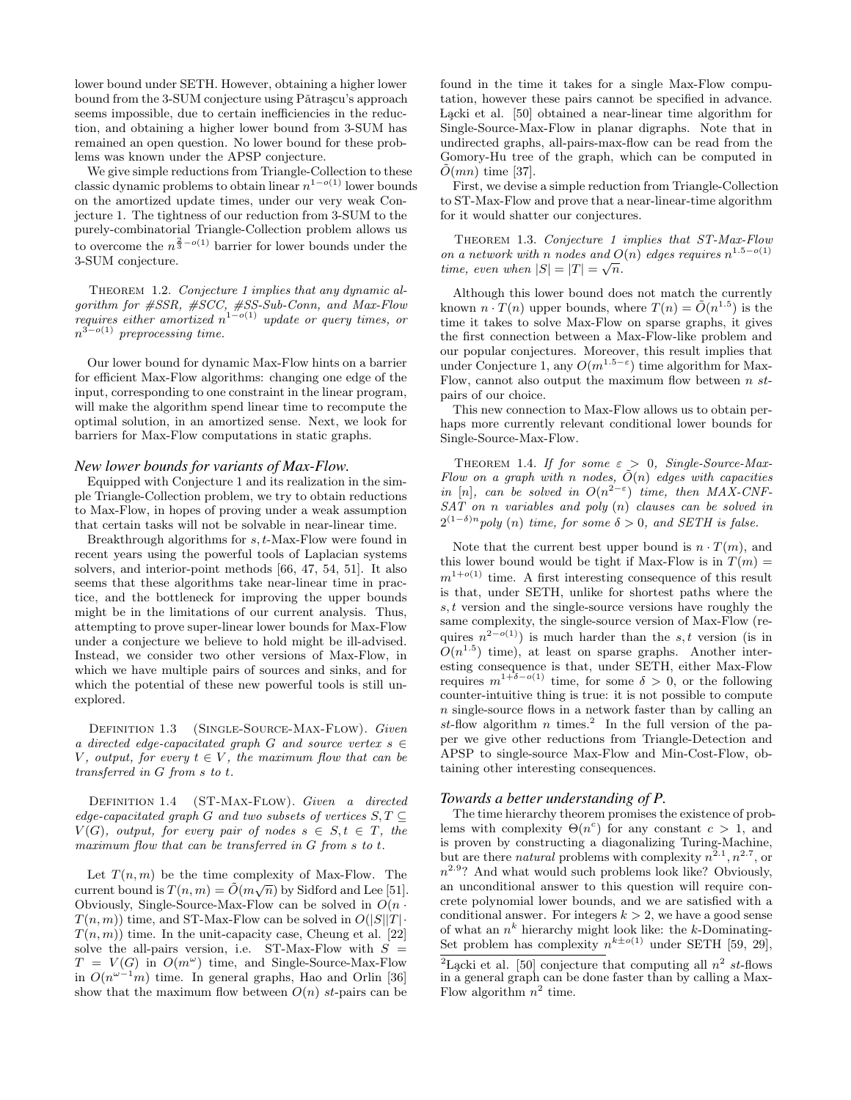lower bound under SETH. However, obtaining a higher lower bound from the 3-SUM conjecture using Pătrașcu's approach seems impossible, due to certain inefficiencies in the reduction, and obtaining a higher lower bound from 3-SUM has remained an open question. No lower bound for these problems was known under the APSP conjecture.

We give simple reductions from Triangle-Collection to these classic dynamic problems to obtain linear  $n^{1-o(1)}$  lower bounds on the amortized update times, under our very weak Conjecture 1. The tightness of our reduction from 3-SUM to the purely-combinatorial Triangle-Collection problem allows us to overcome the  $n^{\frac{2}{3}-o(1)}$  barrier for lower bounds under the 3-SUM conjecture.

THEOREM 1.2. Conjecture 1 implies that any dynamic algorithm for #SSR, #SCC, #SS-Sub-Conn, and Max-Flow requires either amortized  $n^{1-o(1)}$  update or query times, or  $n^{3-o(1)}$  preprocessing time.

Our lower bound for dynamic Max-Flow hints on a barrier for efficient Max-Flow algorithms: changing one edge of the input, corresponding to one constraint in the linear program, will make the algorithm spend linear time to recompute the optimal solution, in an amortized sense. Next, we look for barriers for Max-Flow computations in static graphs.

### *New lower bounds for variants of Max-Flow.*

Equipped with Conjecture 1 and its realization in the simple Triangle-Collection problem, we try to obtain reductions to Max-Flow, in hopes of proving under a weak assumption that certain tasks will not be solvable in near-linear time.

Breakthrough algorithms for s, t-Max-Flow were found in recent years using the powerful tools of Laplacian systems solvers, and interior-point methods [66, 47, 54, 51]. It also seems that these algorithms take near-linear time in practice, and the bottleneck for improving the upper bounds might be in the limitations of our current analysis. Thus, attempting to prove super-linear lower bounds for Max-Flow under a conjecture we believe to hold might be ill-advised. Instead, we consider two other versions of Max-Flow, in which we have multiple pairs of sources and sinks, and for which the potential of these new powerful tools is still unexplored.

DEFINITION 1.3 (SINGLE-SOURCE-MAX-FLOW). Given a directed edge-capacitated graph G and source vertex  $s \in$ V, output, for every  $t \in V$ , the maximum flow that can be transferred in G from s to t.

DEFINITION 1.4 (ST-MAX-FLOW). Given a directed edge-capacitated graph G and two subsets of vertices  $S, T \subseteq$  $V(G)$ , output, for every pair of nodes  $s \in S, t \in T$ , the maximum flow that can be transferred in G from s to t.

Let  $T(n, m)$  be the time complexity of Max-Flow. The current bound is  $T(n, m) = \tilde{O}(m\sqrt{n})$  by Sidford and Lee [51]. Obviously, Single-Source-Max-Flow can be solved in  $O(n \cdot$  $T(n, m)$ ) time, and ST-Max-Flow can be solved in  $O(|S||T| \cdot )$  $T(n, m)$  time. In the unit-capacity case, Cheung et al. [22] solve the all-pairs version, i.e. ST-Max-Flow with  $S =$  $T = V(G)$  in  $O(m^{\omega})$  time, and Single-Source-Max-Flow in  $O(n^{\omega-1}m)$  time. In general graphs, Hao and Orlin [36] show that the maximum flow between  $O(n)$  st-pairs can be

found in the time it takes for a single Max-Flow computation, however these pairs cannot be specified in advance. Lącki et al. [50] obtained a near-linear time algorithm for Single-Source-Max-Flow in planar digraphs. Note that in undirected graphs, all-pairs-max-flow can be read from the Gomory-Hu tree of the graph, which can be computed in  $\tilde{O}(mn)$  time [37].

First, we devise a simple reduction from Triangle-Collection to ST-Max-Flow and prove that a near-linear-time algorithm for it would shatter our conjectures.

Theorem 1.3. Conjecture 1 implies that ST-Max-Flow on a network with n nodes and  $O(n)$  edges requires  $n^{1.5-o(1)}$ time, even when  $|S| = |T| = \sqrt{n}$ .

Although this lower bound does not match the currently known  $n \cdot T(n)$  upper bounds, where  $T(n) = \tilde{O}(n^{1.5})$  is the time it takes to solve Max-Flow on sparse graphs, it gives the first connection between a Max-Flow-like problem and our popular conjectures. Moreover, this result implies that under Conjecture 1, any  $O(m^{1.5-\epsilon})$  time algorithm for Max-Flow, cannot also output the maximum flow between  $n st$ pairs of our choice.

This new connection to Max-Flow allows us to obtain perhaps more currently relevant conditional lower bounds for Single-Source-Max-Flow.

THEOREM 1.4. If for some  $\varepsilon > 0$ , Single-Source-Max-Flow on a graph with n nodes,  $\tilde{O}(n)$  edges with capacities in [n], can be solved in  $O(n^{2-\epsilon})$  time, then MAX-CNF- $SAT$  on n variables and poly  $(n)$  clauses can be solved in  $2^{(1-\delta)n}$  poly (n) time, for some  $\delta > 0$ , and SETH is false.

Note that the current best upper bound is  $n \cdot T(m)$ , and this lower bound would be tight if Max-Flow is in  $T(m)$  =  $m^{1+o(1)}$  time. A first interesting consequence of this result is that, under SETH, unlike for shortest paths where the s, t version and the single-source versions have roughly the same complexity, the single-source version of Max-Flow (requires  $n^{2-o(1)}$ ) is much harder than the s, t version (is in  $O(n^{1.5})$  time), at least on sparse graphs. Another interesting consequence is that, under SETH, either Max-Flow requires  $m^{1+\delta-o(1)}$  time, for some  $\delta > 0$ , or the following counter-intuitive thing is true: it is not possible to compute n single-source flows in a network faster than by calling an st-flow algorithm n times.<sup>2</sup> In the full version of the paper we give other reductions from Triangle-Detection and APSP to single-source Max-Flow and Min-Cost-Flow, obtaining other interesting consequences.

#### *Towards a better understanding of P.*

The time hierarchy theorem promises the existence of problems with complexity  $\Theta(n^c)$  for any constant  $c > 1$ , and is proven by constructing a diagonalizing Turing-Machine, but are there *natural* problems with complexity  $n^{2.1}, n^{2.7}$ , or  $n^{2.9}$ ? And what would such problems look like? Obviously, an unconditional answer to this question will require concrete polynomial lower bounds, and we are satisfied with a conditional answer. For integers  $k > 2$ , we have a good sense of what an  $n^k$  hierarchy might look like: the k-Dominating-Set problem has complexity  $n^{k\pm o(1)}$  under SETH [59, 29],

<sup>&</sup>lt;sup>2</sup>L<sub>g</sub>cki et al. [50] conjecture that computing all  $n^2$  st-flows in a general graph can be done faster than by calling a Max-Flow algorithm  $n^2$  time.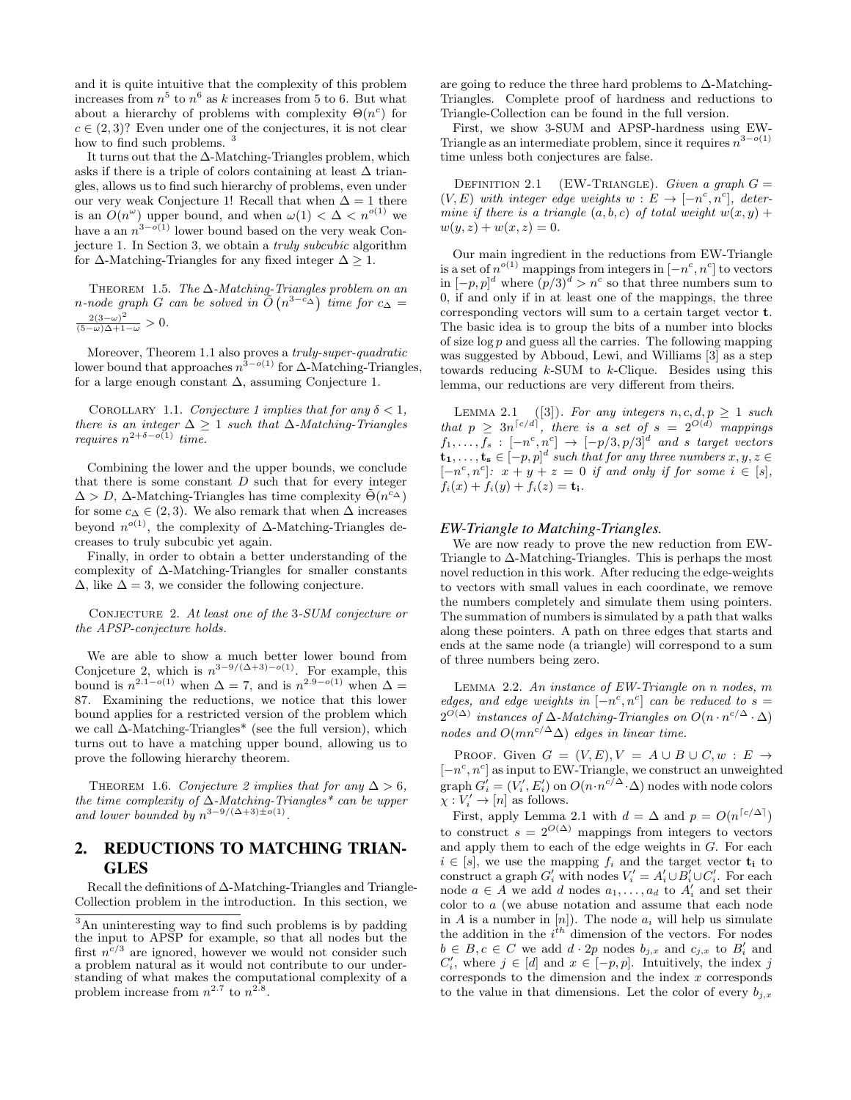and it is quite intuitive that the complexity of this problem increases from  $n^5$  to  $n^6$  as k increases from 5 to 6. But what about a hierarchy of problems with complexity  $\Theta(n^c)$  for  $c \in (2, 3)$ ? Even under one of the conjectures, it is not clear how to find such problems.<sup>3</sup>

It turns out that the ∆-Matching-Triangles problem, which asks if there is a triple of colors containing at least  $\Delta$  triangles, allows us to find such hierarchy of problems, even under our very weak Conjecture 1! Recall that when  $\Delta = 1$  there is an  $O(n^{\omega})$  upper bound, and when  $\omega(1) < \Delta < n^{o(1)}$  we have a an  $n^{3-o(1)}$  lower bound based on the very weak Conjecture 1. In Section 3, we obtain a truly subcubic algorithm for  $\Delta$ -Matching-Triangles for any fixed integer  $\Delta > 1$ .

THEOREM 1.5. The  $\Delta$ -Matching-Triangles problem on an n-node graph G can be solved in  $\tilde{O}(n^{3-c\Delta})$  time for  $c_{\Delta} =$  $\frac{2(3-\omega)^2}{(5-\omega)\Delta+1-\omega} > 0.$ 

Moreover, Theorem 1.1 also proves a *truly-super-quadratic* lower bound that approaches  $n^{3-o(1)}$  for  $\Delta$ -Matching-Triangles, for a large enough constant  $\Delta$ , assuming Conjecture 1.

COROLLARY 1.1. Conjecture 1 implies that for any  $\delta < 1$ , there is an integer  $\Delta \geq 1$  such that  $\Delta$ -Matching-Triangles requires  $n^{2+\delta-o(1)}$  time.

Combining the lower and the upper bounds, we conclude that there is some constant  $D$  such that for every integer  $\Delta > D$ ,  $\Delta$ -Matching-Triangles has time complexity  $\tilde{\Theta}(n^{\tilde{c}_{\Delta}})$ for some  $c_{\Delta} \in (2, 3)$ . We also remark that when  $\Delta$  increases beyond  $n^{o(1)}$ , the complexity of  $\Delta$ -Matching-Triangles decreases to truly subcubic yet again.

Finally, in order to obtain a better understanding of the complexity of ∆-Matching-Triangles for smaller constants  $\Delta$ , like  $\Delta = 3$ , we consider the following conjecture.

Conjecture 2. At least one of the 3-SUM conjecture or the APSP-conjecture holds.

We are able to show a much better lower bound from Conjceture 2, which is  $n^{3-9/(\Delta+3)-o(1)}$ . For example, this bound is  $n^{2.1-o(1)}$  when  $\Delta = 7$ , and is  $n^{2.9-o(1)}$  when  $\Delta =$ 87. Examining the reductions, we notice that this lower bound applies for a restricted version of the problem which we call ∆-Matching-Triangles\* (see the full version), which turns out to have a matching upper bound, allowing us to prove the following hierarchy theorem.

THEOREM 1.6. Conjecture 2 implies that for any  $\Delta > 6$ , the time complexity of ∆-Matching-Triangles\* can be upper and lower bounded by  $n^{3-9/(\Delta+3)\pm o(1)}$ .

# 2. REDUCTIONS TO MATCHING TRIAN-GLES

Recall the definitions of ∆-Matching-Triangles and Triangle-Collection problem in the introduction. In this section, we

are going to reduce the three hard problems to ∆-Matching-Triangles. Complete proof of hardness and reductions to Triangle-Collection can be found in the full version.

First, we show 3-SUM and APSP-hardness using EW-Triangle as an intermediate problem, since it requires  $n^{3-o(1)}$ time unless both conjectures are false.

DEFINITION 2.1 (EW-TRIANGLE). Given a graph  $G =$  $(V, E)$  with integer edge weights  $w : E \to [-n^c, n^c]$ , determine if there is a triangle  $(a, b, c)$  of total weight  $w(x, y)$  +  $w(y, z) + w(x, z) = 0.$ 

Our main ingredient in the reductions from EW-Triangle is a set of  $n^{o(1)}$  mappings from integers in  $[-n^c, n^c]$  to vectors in  $[-p, p]^d$  where  $(p/3)^d > n^c$  so that three numbers sum to 0, if and only if in at least one of the mappings, the three corresponding vectors will sum to a certain target vector t. The basic idea is to group the bits of a number into blocks of size  $\log p$  and guess all the carries. The following mapping was suggested by Abboud, Lewi, and Williams [3] as a step towards reducing  $k$ -SUM to  $k$ -Clique. Besides using this lemma, our reductions are very different from theirs.

LEMMA 2.1 ([3]). For any integers  $n, c, d, p \geq 1$  such that  $p \geq 3n^{\lceil c/d \rceil}$ , there is a set of  $s = 2^{O(d)}$  mappings  $f_1, \ldots, f_s : [-n^c, n^c] \rightarrow [-p/3, p/3]^d$  and s target vectors  $\mathbf{t_1}, \ldots, \mathbf{t_s} \in [-p, p]^d$  such that for any three numbers  $x, y, z \in$  $[-n^c, n^c]:$   $x + y + z = 0$  if and only if for some  $i \in [s],$  $f_i(x) + f_i(y) + f_i(z) = t_i.$ 

#### *EW-Triangle to Matching-Triangles.*

We are now ready to prove the new reduction from EW-Triangle to ∆-Matching-Triangles. This is perhaps the most novel reduction in this work. After reducing the edge-weights to vectors with small values in each coordinate, we remove the numbers completely and simulate them using pointers. The summation of numbers is simulated by a path that walks along these pointers. A path on three edges that starts and ends at the same node (a triangle) will correspond to a sum of three numbers being zero.

LEMMA 2.2. An instance of  $EW$ -Triangle on n nodes, m edges, and edge weights in  $[-n^c, n^c]$  can be reduced to  $s =$  $2^{O(\Delta)}$  instances of  $\Delta$ -Matching-Triangles on  $O(n \cdot n^{c/\Delta} \cdot \Delta)$ nodes and  $O(mn^{c/\Delta}\Delta)$  edges in linear time.

PROOF. Given  $G = (V, E), V = A \cup B \cup C, w : E \rightarrow$  $[-n^c, n^c]$  as input to EW-Triangle, we construct an unweighted graph  $G_i' = (V_i', E_i')$  on  $O(n \cdot n^{c/\Delta} \cdot \Delta)$  nodes with node colors  $\chi: V_i' \to [n]$  as follows.

First, apply Lemma 2.1 with  $d = \Delta$  and  $p = O(n^{\lceil c/\Delta \rceil})$ to construct  $s = 2^{O(\Delta)}$  mappings from integers to vectors and apply them to each of the edge weights in G. For each  $i \in [s]$ , we use the mapping  $f_i$  and the target vector  $t_i$  to construct a graph  $G'_i$  with nodes  $V'_i = A'_i \cup B'_i \cup C'_i$ . For each node  $a \in A$  we add d nodes  $a_1, \ldots, a_d$  to  $A'_i$  and set their color to a (we abuse notation and assume that each node in A is a number in  $[n]$ . The node  $a_i$  will help us simulate the addition in the  $i^{th}$  dimension of the vectors. For nodes  $b \in B, c \in C$  we add  $d \cdot 2p$  nodes  $b_{j,x}$  and  $c_{j,x}$  to  $B'_i$  and  $C'_i$ , where  $j \in [d]$  and  $x \in [-p, p]$ . Intuitively, the index j corresponds to the dimension and the index  $x$  corresponds to the value in that dimensions. Let the color of every  $b_{j,x}$ 

<sup>3</sup>An uninteresting way to find such problems is by padding the input to APSP for example, so that all nodes but the first  $n^{c/3}$  are ignored, however we would not consider such a problem natural as it would not contribute to our understanding of what makes the computational complexity of a problem increase from  $n^{2.7}$  to  $n^{2.8}$ .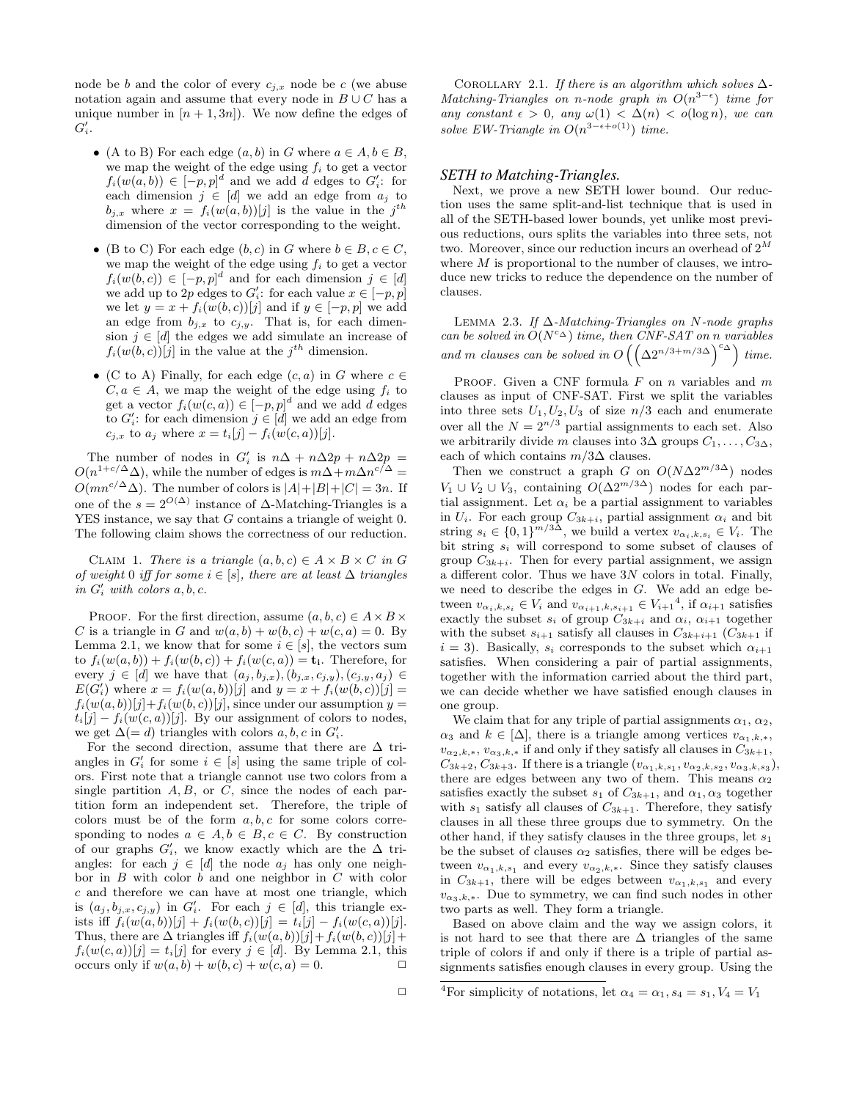node be b and the color of every  $c_{j,x}$  node be c (we abuse notation again and assume that every node in  $B \cup C$  has a unique number in  $[n+1,3n]$ . We now define the edges of  $G_i'.$ 

- (A to B) For each edge  $(a, b)$  in G where  $a \in A, b \in B$ , we map the weight of the edge using  $f_i$  to get a vector  $f_i(w(a, b)) \in [-p, p]^d$  and we add d edges to  $G_i$ : for each dimension  $j \in [d]$  we add an edge from  $a_j$  to  $b_{j,x}$  where  $x = f_i(w(a, b))[j]$  is the value in the j<sup>th</sup> dimension of the vector corresponding to the weight.
- (B to C) For each edge  $(b, c)$  in G where  $b \in B, c \in C$ , we map the weight of the edge using  $f_i$  to get a vector  $f_i(w(b, c)) \in [-p, p]^d$  and for each dimension  $j \in [d]$ we add up to 2p edges to  $G_i'$ : for each value  $x \in [-p, p]$ we let  $y = x + f_i(w(b, c))[j]$  and if  $y \in [-p, p]$  we add an edge from  $b_{j,x}$  to  $c_{j,y}$ . That is, for each dimension  $j \in [d]$  the edges we add simulate an increase of  $f_i(w(b, c))[j]$  in the value at the  $j<sup>th</sup>$  dimension.
- (C to A) Finally, for each edge  $(c, a)$  in G where  $c \in \mathbb{R}$  $C, a \in A$ , we map the weight of the edge using  $f_i$  to get a vector  $f_i(w(c, a)) \in [-p, p]^d$  and we add d edges to  $G_i'$ : for each dimension  $j \in [d]$  we add an edge from  $c_{j,x}$  to  $a_j$  where  $x = t_i[j] - f_i(w(c, a))[j].$

The number of nodes in  $G'_i$  is  $n\Delta + n\Delta 2p + n\Delta 2p =$  $O(n^{1+c/\Delta}\Delta)$ , while the number of edges is  $m\Delta+m\Delta n^{c/\Delta} =$  $O(mn^{c/\Delta}\Delta)$ . The number of colors is  $|A|+|B|+|C|=3n$ . If one of the  $s = 2^{O(\Delta)}$  instance of  $\Delta$ -Matching-Triangles is a YES instance, we say that G contains a triangle of weight 0. The following claim shows the correctness of our reduction.

CLAIM 1. There is a triangle  $(a, b, c) \in A \times B \times C$  in G of weight 0 iff for some  $i \in [s]$ , there are at least  $\Delta$  triangles in  $G'_i$  with colors  $a, b, c$ .

PROOF. For the first direction, assume  $(a, b, c) \in A \times B \times$ C is a triangle in G and  $w(a, b) + w(b, c) + w(c, a) = 0$ . By Lemma 2.1, we know that for some  $i \in [s]$ , the vectors sum to  $f_i(w(a, b)) + f_i(w(b, c)) + f_i(w(c, a)) = \mathbf{t_i}$ . Therefore, for every  $j \in [d]$  we have that  $(a_j, b_{j,x}), (b_{j,x}, c_{j,y}), (c_{j,y}, a_j) \in$  $E(G'_{i})$  where  $x = f_{i}(w(a, b))[j]$  and  $y = x + f_{i}(w(b, c))[j] =$  $f_i(w(a, b))[j] + f_i(w(b, c))[j]$ , since under our assumption  $y =$  $t_i[j] - f_i(w(c, a))[j]$ . By our assignment of colors to nodes, we get  $\Delta (= d)$  triangles with colors  $a, b, c$  in  $G_i'$ .

For the second direction, assume that there are  $\Delta$  triangles in  $G_i'$  for some  $i \in [s]$  using the same triple of colors. First note that a triangle cannot use two colors from a single partition  $A, B$ , or  $C$ , since the nodes of each partition form an independent set. Therefore, the triple of colors must be of the form  $a, b, c$  for some colors corresponding to nodes  $a \in A, b \in B, c \in C$ . By construction of our graphs  $G_i'$ , we know exactly which are the  $\Delta$  triangles: for each  $j \in [d]$  the node  $a_j$  has only one neighbor in  $B$  with color  $b$  and one neighbor in  $C$  with color c and therefore we can have at most one triangle, which is  $(a_j, b_{j,x}, c_{j,y})$  in  $G'_i$ . For each  $j \in [d]$ , this triangle exists iff  $f_i(w(a, b))[j] + f_i(w(b, c))[j] = t_i[j] - f_i(w(c, a))[j].$ Thus, there are  $\Delta$  triangles iff  $f_i(w(a, b))[j] + f_i(w(b, c))[j] +$  $f_i(w(c, a))[j] = t_i[j]$  for every  $j \in [d]$ . By Lemma 2.1, this occurs only if  $w(a, b) + w(b, c) + w(c, a) = 0$ .

COROLLARY 2.1. If there is an algorithm which solves  $\Delta$ -Matching-Triangles on n-node graph in  $O(n^{3-\epsilon})$  time for any constant  $\epsilon > 0$ , any  $\omega(1) < \Delta(n) < o(\log n)$ , we can solve EW-Triangle in  $O(n^{3-\epsilon+o(1)})$  time.

### *SETH to Matching-Triangles.*

Next, we prove a new SETH lower bound. Our reduction uses the same split-and-list technique that is used in all of the SETH-based lower bounds, yet unlike most previous reductions, ours splits the variables into three sets, not two. Moreover, since our reduction incurs an overhead of  $2^{\mathit{M}}$ where  $M$  is proportional to the number of clauses, we introduce new tricks to reduce the dependence on the number of clauses.

LEMMA 2.3. If  $\Delta$ -Matching-Triangles on N-node graphs can be solved in  $O(N^{c\Delta})$  time, then CNF-SAT on n variables and m clauses can be solved in  $O\left(\left(\Delta 2^{n/3+m/3\Delta}\right)^{c\Delta}\right)$  time.

PROOF. Given a CNF formula  $F$  on  $n$  variables and  $m$ clauses as input of CNF-SAT. First we split the variables into three sets  $U_1, U_2, U_3$  of size  $n/3$  each and enumerate over all the  $N = 2^{n/3}$  partial assignments to each set. Also we arbitrarily divide m clauses into 3∆ groups  $C_1, \ldots, C_{3\Delta}$ , each of which contains  $m/3\Delta$  clauses.

Then we construct a graph G on  $O(N\Delta 2^{m/3\Delta})$  nodes  $V_1 \cup V_2 \cup V_3$ , containing  $O(\Delta 2^{m/3\Delta})$  nodes for each partial assignment. Let  $\alpha_i$  be a partial assignment to variables in  $U_i$ . For each group  $C_{3k+i}$ , partial assignment  $\alpha_i$  and bit string  $s_i \in \{0,1\}^{m/3\Delta}$ , we build a vertex  $v_{\alpha_i,k,s_i} \in V_i$ . The bit string  $s_i$  will correspond to some subset of clauses of group  $C_{3k+i}$ . Then for every partial assignment, we assign a different color. Thus we have  $3N$  colors in total. Finally, we need to describe the edges in  $G$ . We add an edge between  $v_{\alpha_i,k,s_i} \in V_i$  and  $v_{\alpha_{i+1},k,s_{i+1}} \in V_{i+1}^4$ , if  $\alpha_{i+1}$  satisfies exactly the subset  $s_i$  of group  $C_{3k+i}$  and  $\alpha_i$ ,  $\alpha_{i+1}$  together with the subset  $s_{i+1}$  satisfy all clauses in  $C_{3k+i+1}$  ( $C_{3k+1}$  if  $i = 3$ ). Basically,  $s_i$  corresponds to the subset which  $\alpha_{i+1}$ satisfies. When considering a pair of partial assignments, together with the information carried about the third part, we can decide whether we have satisfied enough clauses in one group.

We claim that for any triple of partial assignments  $\alpha_1, \alpha_2,$  $\alpha_3$  and  $k \in [\Delta]$ , there is a triangle among vertices  $v_{\alpha_1,k,*}$ ,  $v_{\alpha_2,k,*}, v_{\alpha_3,k,*}$  if and only if they satisfy all clauses in  $C_{3k+1}$ ,  $C_{3k+2}, C_{3k+3}$ . If there is a triangle  $(v_{\alpha_1,k,s_1}, v_{\alpha_2,k,s_2}, v_{\alpha_3,k,s_3}),$ there are edges between any two of them. This means  $\alpha_2$ satisfies exactly the subset  $s_1$  of  $C_{3k+1}$ , and  $\alpha_1, \alpha_3$  together with  $s_1$  satisfy all clauses of  $C_{3k+1}$ . Therefore, they satisfy clauses in all these three groups due to symmetry. On the other hand, if they satisfy clauses in the three groups, let  $s_1$ be the subset of clauses  $\alpha_2$  satisfies, there will be edges between  $v_{\alpha_1,k,s_1}$  and every  $v_{\alpha_2,k,*}$ . Since they satisfy clauses in  $C_{3k+1}$ , there will be edges between  $v_{\alpha_1,k,s_1}$  and every  $v_{\alpha_3,k,*}$ . Due to symmetry, we can find such nodes in other two parts as well. They form a triangle.

Based on above claim and the way we assign colors, it is not hard to see that there are  $\Delta$  triangles of the same triple of colors if and only if there is a triple of partial assignments satisfies enough clauses in every group. Using the

<sup>&</sup>lt;sup>4</sup>For simplicity of notations, let  $\alpha_4 = \alpha_1, s_4 = s_1, V_4 = V_1$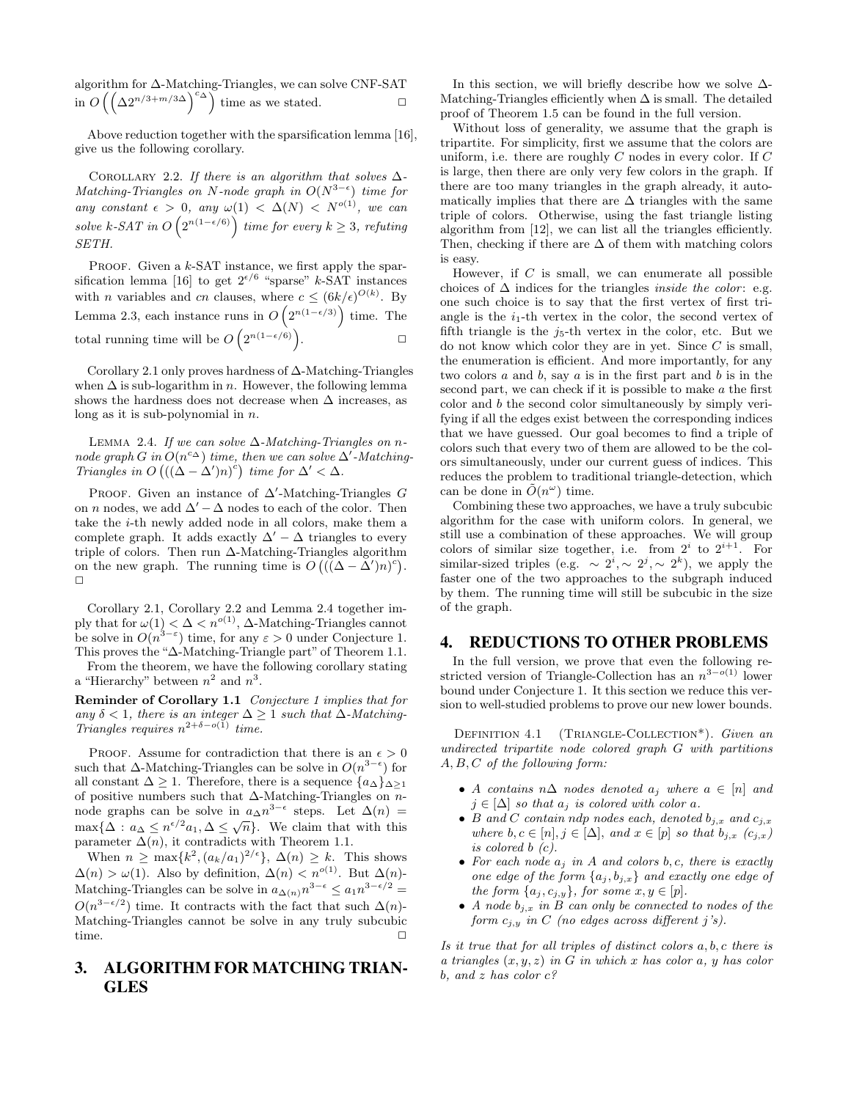algorithm for ∆-Matching-Triangles, we can solve CNF-SAT in  $O\left(\left(\Delta 2^{n/3+m/3\Delta}\right)^{c_{\Delta}}\right)$  time as we stated.  $□$ 

Above reduction together with the sparsification lemma [16], give us the following corollary.

COROLLARY 2.2. If there is an algorithm that solves  $\Delta$ -Matching-Triangles on N-node graph in  $O(N^{3-\epsilon})$  time for any constant  $\epsilon > 0$ , any  $\omega(1) < \Delta(N) < N^{o(1)}$ , we can solve k-SAT in  $O\left(2^{n(1-\epsilon/6)}\right)$  time for every  $k \geq 3$ , refuting SETH.

PROOF. Given a  $k$ -SAT instance, we first apply the sparsification lemma [16] to get  $2^{e/6}$  "sparse" k-SAT instances with *n* variables and *cn* clauses, where  $c \leq (6k/\epsilon)^{O(k)}$ . By Lemma 2.3, each instance runs in  $O(2^{n(1-\epsilon/3)})$  time. The total running time will be  $O\left(2^{n(1-\epsilon/6)}\right)$ .  $\Box$ 

Corollary 2.1 only proves hardness of ∆-Matching-Triangles when  $\Delta$  is sub-logarithm in n. However, the following lemma shows the hardness does not decrease when  $\Delta$  increases, as long as it is sub-polynomial in  $n$ .

LEMMA 2.4. If we can solve  $\Delta$ -Matching-Triangles on nnode graph G in  $O(n^{c_{\Delta}})$  time, then we can solve  $\Delta'$ -Matching-Triangles in  $O((\Delta - \Delta')n)^c$  time for  $\Delta' < \Delta$ .

PROOF. Given an instance of  $\Delta'$ -Matching-Triangles G on *n* nodes, we add  $\Delta' - \Delta$  nodes to each of the color. Then take the i-th newly added node in all colors, make them a complete graph. It adds exactly  $\Delta' - \Delta$  triangles to every triple of colors. Then run ∆-Matching-Triangles algorithm on the new graph. The running time is  $O((\Delta - \Delta')n)^c)$ . ✷

Corollary 2.1, Corollary 2.2 and Lemma 2.4 together imply that for  $\omega(1) < \Delta < n^{o(1)}$ ,  $\Delta$ -Matching-Triangles cannot be solve in  $O(n^{3-\epsilon})$  time, for any  $\epsilon > 0$  under Conjecture 1. This proves the "∆-Matching-Triangle part" of Theorem 1.1.

From the theorem, we have the following corollary stating a "Hierarchy" between  $n^2$  and  $n^3$ .

Reminder of Corollary 1.1 Conjecture 1 implies that for any  $\delta$  < 1, there is an integer  $\Delta \geq 1$  such that  $\Delta$ -Matching-Triangles requires  $n^{2+\delta-o(1)}$  time.

PROOF. Assume for contradiction that there is an  $\epsilon > 0$ such that  $\Delta$ -Matching-Triangles can be solve in  $O(n^{3-\epsilon})$  for all constant  $\Delta \geq 1$ . Therefore, there is a sequence  $\{a_{\Delta}\}_{\Delta \geq 1}$ of positive numbers such that ∆-Matching-Triangles on nnode graphs can be solve in  $a_{\Delta} n^{3-\epsilon}$  steps. Let  $\Delta(n)$  = mode graphs can be solve in  $a_{\Delta}$ *n* steps. Let  $\Delta(n)$  =  $\max{\{\Delta : a_{\Delta} \leq n^{\epsilon/2}a_1, \Delta \leq \sqrt{n}\}}$ . We claim that with this parameter  $\overline{\Delta(n)}$ , it contradicts with Theorem 1.1.

When  $n \ge \max\{k^2, (a_k/a_1)^{2/\epsilon}\}, \Delta(n) \ge k$ . This shows  $\Delta(n) > \omega(1)$ . Also by definition,  $\Delta(n) < n^{o(1)}$ . But  $\Delta(n)$ -Matching-Triangles can be solve in  $a_{\Delta(n)}n^{3-\epsilon} \leq a_1 n^{3-\epsilon/2}$  $O(n^{3-\epsilon/2})$  time. It contracts with the fact that such  $\Delta(n)$ -Matching-Triangles cannot be solve in any truly subcubic time.  $\Box$ 

# 3. ALGORITHM FOR MATCHING TRIAN-GLES

In this section, we will briefly describe how we solve  $\Delta$ -Matching-Triangles efficiently when  $\Delta$  is small. The detailed proof of Theorem 1.5 can be found in the full version.

Without loss of generality, we assume that the graph is tripartite. For simplicity, first we assume that the colors are uniform, i.e. there are roughly  $C$  nodes in every color. If  $C$ is large, then there are only very few colors in the graph. If there are too many triangles in the graph already, it automatically implies that there are  $\Delta$  triangles with the same triple of colors. Otherwise, using the fast triangle listing algorithm from [12], we can list all the triangles efficiently. Then, checking if there are  $\Delta$  of them with matching colors is easy.

However, if  $C$  is small, we can enumerate all possible choices of  $\Delta$  indices for the triangles *inside the color*: e.g. one such choice is to say that the first vertex of first triangle is the  $i_1$ -th vertex in the color, the second vertex of fifth triangle is the  $j_5$ -th vertex in the color, etc. But we do not know which color they are in yet. Since  $C$  is small, the enumeration is efficient. And more importantly, for any two colors  $a$  and  $b$ , say  $a$  is in the first part and  $b$  is in the second part, we can check if it is possible to make  $a$  the first color and b the second color simultaneously by simply verifying if all the edges exist between the corresponding indices that we have guessed. Our goal becomes to find a triple of colors such that every two of them are allowed to be the colors simultaneously, under our current guess of indices. This reduces the problem to traditional triangle-detection, which can be done in  $\tilde{O}(n^{\omega})$  time.

Combining these two approaches, we have a truly subcubic algorithm for the case with uniform colors. In general, we still use a combination of these approaches. We will group colors of similar size together, i.e. from  $2^i$  to  $2^{i+1}$ . For similar-sized triples (e.g.  $\sim 2^i, \sim 2^j, \sim 2^k$ ), we apply the faster one of the two approaches to the subgraph induced by them. The running time will still be subcubic in the size of the graph.

# 4. REDUCTIONS TO OTHER PROBLEMS

In the full version, we prove that even the following restricted version of Triangle-Collection has an  $n^{3-o(1)}$  lower bound under Conjecture 1. It this section we reduce this version to well-studied problems to prove our new lower bounds.

DEFINITION 4.1 (TRIANGLE-COLLECTION\*). Given an undirected tripartite node colored graph G with partitions A, B, C of the following form:

- A contains  $n\Delta$  nodes denoted  $a_j$  where  $a \in [n]$  and  $j \in [\Delta]$  so that  $a_j$  is colored with color a.
- B and C contain ndp nodes each, denoted  $b_{j,x}$  and  $c_{j,x}$ where  $b, c \in [n], j \in [\Delta]$ , and  $x \in [p]$  so that  $b_{j,x}$   $(c_{j,x})$ is colored b (c).
- For each node  $a_j$  in A and colors b, c, there is exactly one edge of the form  $\{a_j, b_{j,x}\}\$  and exactly one edge of the form  $\{a_j, c_{j,y}\}\$ , for some  $x, y \in [p]$ .
- A node  $b_{j,x}$  in B can only be connected to nodes of the form  $c_{i,y}$  in C (no edges across different j's).

Is it true that for all triples of distinct colors a, b, c there is a triangles  $(x, y, z)$  in G in which x has color a, y has color b, and z has color  $c$ ?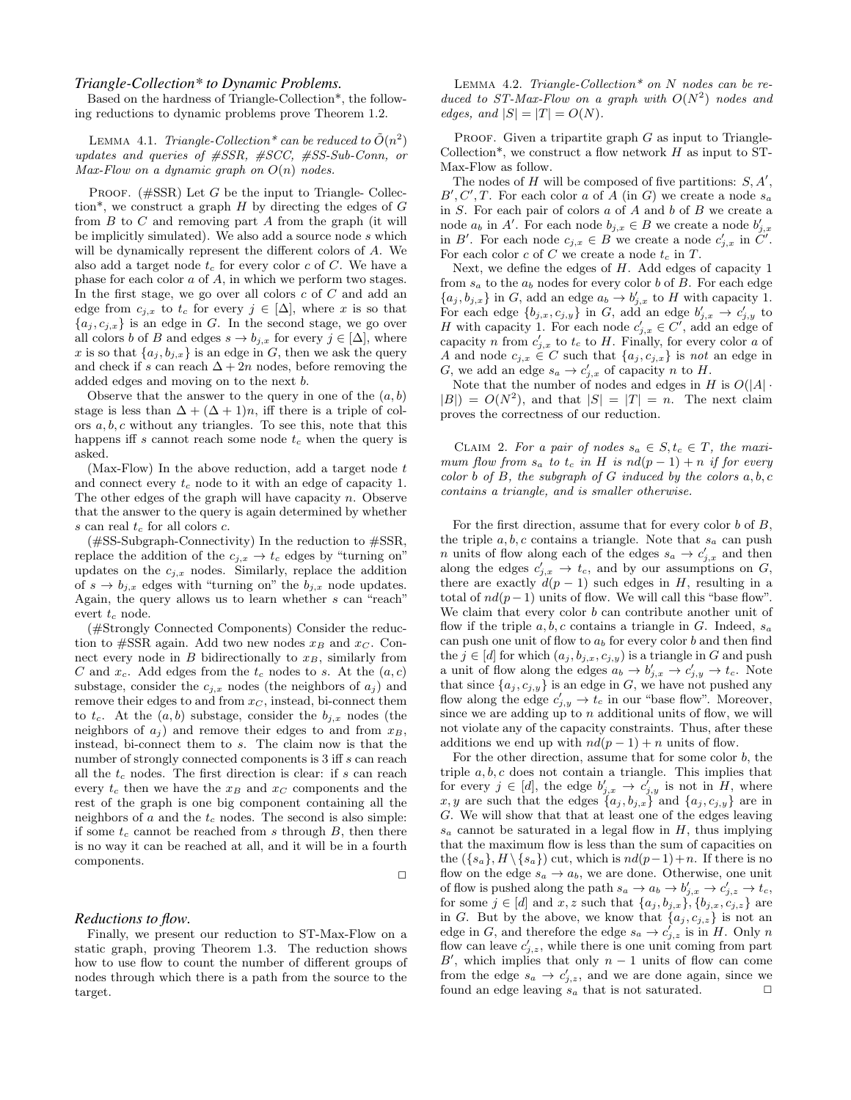### *Triangle-Collection\* to Dynamic Problems.*

Based on the hardness of Triangle-Collection\*, the following reductions to dynamic problems prove Theorem 1.2.

LEMMA 4.1. Triangle-Collection<sup>\*</sup> can be reduced to  $\tilde{O}(n^2)$ updates and queries of #SSR, #SCC, #SS-Sub-Conn, or Max-Flow on a dynamic graph on  $O(n)$  nodes.

PROOF.  $(\text{#SSR})$  Let G be the input to Triangle- Collection\*, we construct a graph  $H$  by directing the edges of  $G$ from  $B$  to  $C$  and removing part  $A$  from the graph (it will be implicitly simulated). We also add a source node s which will be dynamically represent the different colors of A. We also add a target node  $t_c$  for every color  $c$  of  $C$ . We have a phase for each color  $\boldsymbol{a}$  of  $\boldsymbol{A},$  in which we perform two stages. In the first stage, we go over all colors  $c$  of  $C$  and add an edge from  $c_{j,x}$  to  $t_c$  for every  $j \in [\Delta]$ , where x is so that  ${a_j, c_{j,x}}$  is an edge in G. In the second stage, we go over all colors b of B and edges  $s \to b_{j,x}$  for every  $j \in [\Delta]$ , where x is so that  $\{a_j, b_{j,x}\}\$ is an edge in G, then we ask the query and check if s can reach  $\Delta + 2n$  nodes, before removing the added edges and moving on to the next b.

Observe that the answer to the query in one of the  $(a, b)$ stage is less than  $\Delta + (\Delta + 1)n$ , iff there is a triple of colors  $a, b, c$  without any triangles. To see this, note that this happens iff s cannot reach some node  $t_c$  when the query is asked.

(Max-Flow) In the above reduction, add a target node  $t$ and connect every  $t_c$  node to it with an edge of capacity 1. The other edges of the graph will have capacity  $n$ . Observe that the answer to the query is again determined by whether s can real  $t_c$  for all colors  $c$ .

(#SS-Subgraph-Connectivity) In the reduction to #SSR, replace the addition of the  $c_{j,x} \to t_c$  edges by "turning on" updates on the  $c_{j,x}$  nodes. Similarly, replace the addition of  $s \to b_{j,x}$  edges with "turning on" the  $b_{j,x}$  node updates. Again, the query allows us to learn whether s can "reach" evert  $t_c$  node.

(#Strongly Connected Components) Consider the reduction to  $\#\text{SSR}$  again. Add two new nodes  $x_B$  and  $x_C$ . Connect every node in  $B$  bidirectionally to  $x_B$ , similarly from C and  $x_c$ . Add edges from the  $t_c$  nodes to s. At the  $(a, c)$ substage, consider the  $c_{j,x}$  nodes (the neighbors of  $a_j$ ) and remove their edges to and from  $x_C$ , instead, bi-connect them to  $t_c$ . At the  $(a, b)$  substage, consider the  $b_{j,x}$  nodes (the neighbors of  $a_j$ ) and remove their edges to and from  $x_B$ , instead, bi-connect them to s. The claim now is that the number of strongly connected components is 3 iff s can reach all the  $t_c$  nodes. The first direction is clear: if s can reach every  $t_c$  then we have the  $x_B$  and  $x_C$  components and the rest of the graph is one big component containing all the neighbors of  $a$  and the  $t_c$  nodes. The second is also simple: if some  $t_c$  cannot be reached from s through B, then there is no way it can be reached at all, and it will be in a fourth components.

#### $\Box$

#### *Reductions to flow.*

Finally, we present our reduction to ST-Max-Flow on a static graph, proving Theorem 1.3. The reduction shows how to use flow to count the number of different groups of nodes through which there is a path from the source to the target.

LEMMA 4.2. Triangle-Collection<sup>\*</sup> on N nodes can be reduced to ST-Max-Flow on a graph with  $O(N^2)$  nodes and edges, and  $|S| = |T| = O(N)$ .

PROOF. Given a tripartite graph  $G$  as input to Triangle-Collection\*, we construct a flow network  $H$  as input to ST-Max-Flow as follow.

The nodes of  $H$  will be composed of five partitions:  $S, A',$  $B', C', T$ . For each color a of A (in G) we create a node  $s_a$ in  $S$ . For each pair of colors  $a$  of  $A$  and  $b$  of  $B$  we create a node  $a_b$  in A'. For each node  $b_{j,x} \in B$  we create a node  $b'_{j,x}$ <br>in B'. For each node  $c_{j,x} \in B$  we create a node  $c'_{j,x}$  in  $C'$ . For each color  $c$  of  $C$  we create a node  $t_c$  in  $T$ .

Next, we define the edges of  $H$ . Add edges of capacity 1 from  $s_a$  to the  $a_b$  nodes for every color b of B. For each edge  ${a_j, b_{j,x}}$  in G, add an edge  $a_b \to b'_{j,x}$  to H with capacity 1. For each edge  $\{b_{j,x}, c_{j,y}\}\$ in G, add an edge  $b'_{j,x} \to c'_{j,y}$  to H with capacity 1. For each node  $c'_{j,x} \in C'$ , add an edge of capacity n from  $c'_{j,x}$  to  $t_c$  to H. Finally, for every color a of A and node  $c_{j,x} \in C$  such that  $\{a_j, c_{j,x}\}\$ is not an edge in G, we add an edge  $s_a \to c'_{j,x}$  of capacity n to H.

Note that the number of nodes and edges in H is  $O(|A| \cdot )$  $|B|$  =  $O(N^2)$ , and that  $|S| = |T| = n$ . The next claim proves the correctness of our reduction.

CLAIM 2. For a pair of nodes  $s_a \in S$ ,  $t_c \in T$ , the maximum flow from  $s_a$  to  $t_c$  in H is  $nd(p-1) + n$  if for every color b of B, the subgraph of G induced by the colors  $a, b, c$ contains a triangle, and is smaller otherwise.

For the first direction, assume that for every color  $b$  of  $B$ , the triple  $a, b, c$  contains a triangle. Note that  $s_a$  can push *n* units of flow along each of the edges  $s_a \rightarrow c'_{j,x}$  and then along the edges  $c'_{j,x} \to t_c$ , and by our assumptions on G, there are exactly  $d(p-1)$  such edges in H, resulting in a total of  $nd(p-1)$  units of flow. We will call this "base flow". We claim that every color  $b$  can contribute another unit of flow if the triple  $a, b, c$  contains a triangle in G. Indeed,  $s_a$ can push one unit of flow to  $a<sub>b</sub>$  for every color b and then find the  $j \in [d]$  for which  $(a_j, b_{j,x}, c_{j,y})$  is a triangle in G and push a unit of flow along the edges  $a_b \to b'_{j,x} \to c'_{j,y} \to t_c$ . Note that since  $\{a_j, c_{j,y}\}\$ is an edge in G, we have not pushed any flow along the edge  $c'_{j,y} \to t_c$  in our "base flow". Moreover, since we are adding up to  $n$  additional units of flow, we will not violate any of the capacity constraints. Thus, after these additions we end up with  $nd(p-1) + n$  units of flow.

For the other direction, assume that for some color  $b$ , the triple  $a, b, c$  does not contain a triangle. This implies that for every  $j \in [d]$ , the edge  $b'_{j,x} \to c'_{j,y}$  is not in H, where x, y are such that the edges  $\{a_j, b_{j,x}\}\$  and  $\{a_j, c_{j,y}\}\$  are in G. We will show that that at least one of the edges leaving  $s_a$  cannot be saturated in a legal flow in  $H$ , thus implying that the maximum flow is less than the sum of capacities on the  $({s_a}, H \backslash {s_a})$  cut, which is  $nd(p-1)+n$ . If there is no flow on the edge  $s_a \rightarrow a_b$ , we are done. Otherwise, one unit of flow is pushed along the path  $s_a \to a_b \to b'_{j,x} \to c'_{j,z} \to t_c$ , for some  $j \in [d]$  and  $x, z$  such that  $\{a_j, b_{j,x}\}, \{b_{j,x}, c_{j,z}\}\$  are in G. But by the above, we know that  $\{a_j, c_{j,z}\}\$ is not an edge in G, and therefore the edge  $s_a \to c'_{j,z}$  is in H. Only n flow can leave  $c'_{j,z}$ , while there is one unit coming from part B', which implies that only  $n-1$  units of flow can come from the edge  $s_a \rightarrow c'_{j,z}$ , and we are done again, since we found an edge leaving  $s_a$  that is not saturated.  $\Box$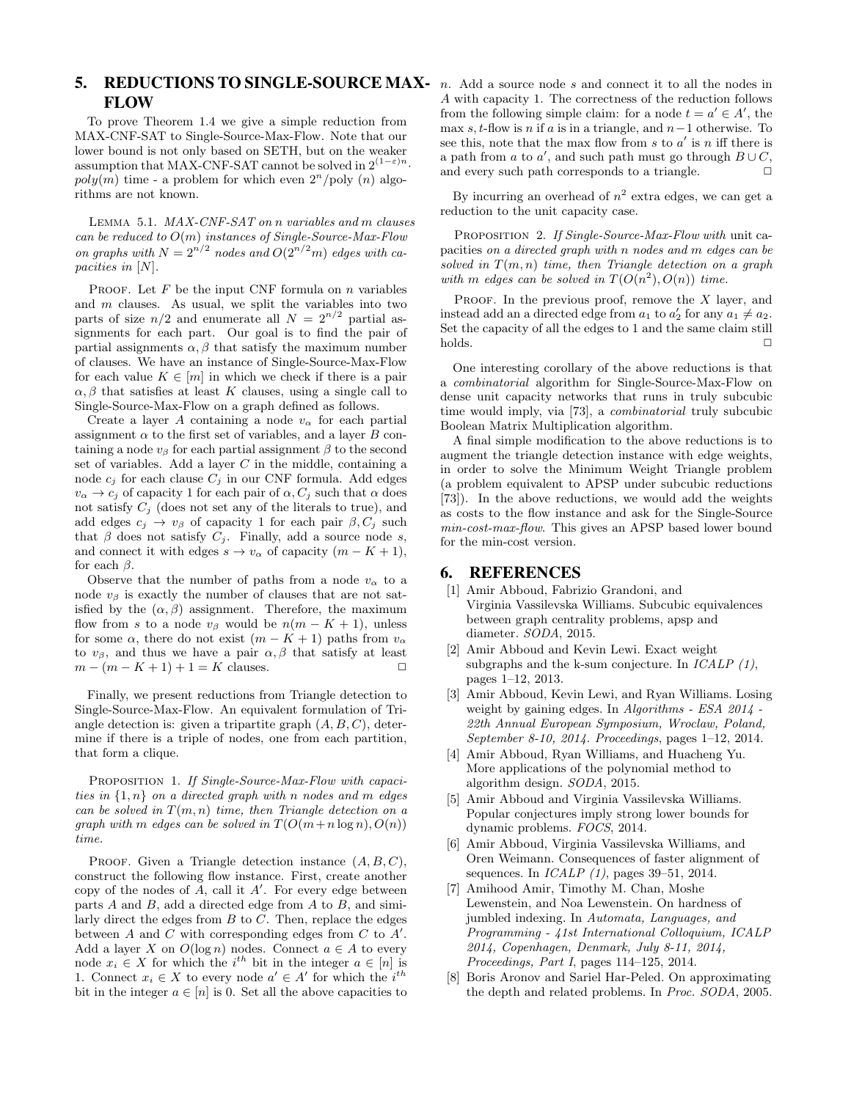# **5. REDUCTIONS TO SINGLE-SOURCE MAX-**  $n$ . Add a source node  $s$  and connect it to all the nodes in FLOW

To prove Theorem 1.4 we give a simple reduction from MAX-CNF-SAT to Single-Source-Max-Flow. Note that our lower bound is not only based on SETH, but on the weaker assumption that MAX-CNF-SAT cannot be solved in  $2^{(1-\varepsilon)n}$ .  $poly(m)$  time - a problem for which even  $2<sup>n</sup>/poly(n)$  algorithms are not known.

Lemma 5.1. MAX-CNF-SAT on n variables and m clauses can be reduced to  $O(m)$  instances of Single-Source-Max-Flow on graphs with  $N = 2^{n/2}$  nodes and  $O(2^{n/2}m)$  edges with capacities in [N].

PROOF. Let  $F$  be the input CNF formula on  $n$  variables and  $m$  clauses. As usual, we split the variables into two parts of size  $n/2$  and enumerate all  $N = 2^{n/2}$  partial assignments for each part. Our goal is to find the pair of partial assignments  $\alpha$ ,  $\beta$  that satisfy the maximum number of clauses. We have an instance of Single-Source-Max-Flow for each value  $K \in [m]$  in which we check if there is a pair  $\alpha, \beta$  that satisfies at least K clauses, using a single call to Single-Source-Max-Flow on a graph defined as follows.

Create a layer A containing a node  $v_{\alpha}$  for each partial assignment  $\alpha$  to the first set of variables, and a layer B containing a node  $v_\beta$  for each partial assignment  $\beta$  to the second set of variables. Add a layer  $C$  in the middle, containing a node  $c_j$  for each clause  $C_j$  in our CNF formula. Add edges  $v_{\alpha} \rightarrow c_j$  of capacity 1 for each pair of  $\alpha$ ,  $C_j$  such that  $\alpha$  does not satisfy  $C_j$  (does not set any of the literals to true), and add edges  $c_j \to v_\beta$  of capacity 1 for each pair  $\beta$ , C<sub>j</sub> such that  $\beta$  does not satisfy  $C_i$ . Finally, add a source node s, and connect it with edges  $s \to v_\alpha$  of capacity  $(m - K + 1)$ , for each  $\beta$ .

Observe that the number of paths from a node  $v_{\alpha}$  to a node  $v_\beta$  is exactly the number of clauses that are not satisfied by the  $(\alpha, \beta)$  assignment. Therefore, the maximum flow from s to a node  $v_\beta$  would be  $n(m - K + 1)$ , unless for some  $\alpha$ , there do not exist  $(m - K + 1)$  paths from  $v_{\alpha}$ to  $v_\beta$ , and thus we have a pair  $\alpha, \beta$  that satisfy at least  $m - (m - K + 1) + 1 = K$  clauses.  $\Box$ 

Finally, we present reductions from Triangle detection to Single-Source-Max-Flow. An equivalent formulation of Triangle detection is: given a tripartite graph  $(A, B, C)$ , determine if there is a triple of nodes, one from each partition, that form a clique.

PROPOSITION 1. If Single-Source-Max-Flow with capacities in  $\{1,n\}$  on a directed graph with n nodes and m edges can be solved in  $T(m, n)$  time, then Triangle detection on a graph with m edges can be solved in  $T(O(m+n \log n), O(n))$ time.

PROOF. Given a Triangle detection instance  $(A, B, C)$ , construct the following flow instance. First, create another copy of the nodes of  $\overline{A}$ , call it  $A'$ . For every edge between parts  $A$  and  $B$ , add a directed edge from  $A$  to  $B$ , and similarly direct the edges from  $B$  to  $C$ . Then, replace the edges between  $A$  and  $C$  with corresponding edges from  $C$  to  $A'$ . Add a layer X on  $O(\log n)$  nodes. Connect  $a \in A$  to every node  $x_i \in X$  for which the  $i^{th}$  bit in the integer  $a \in [n]$  is 1. Connect  $x_i \in X$  to every node  $a' \in A'$  for which the  $i^{th}$ bit in the integer  $a \in [n]$  is 0. Set all the above capacities to

A with capacity 1. The correctness of the reduction follows from the following simple claim: for a node  $t = a' \in A'$ , the max s, t-flow is n if a is in a triangle, and  $n-1$  otherwise. To see this, note that the max flow from s to  $a'$  is n iff there is a path from a to a', and such path must go through  $B\cup C$ , and every such path corresponds to a triangle.  $\Box$ 

By incurring an overhead of  $n^2$  extra edges, we can get a reduction to the unit capacity case.

PROPOSITION 2. If Single-Source-Max-Flow with unit capacities on a directed graph with n nodes and m edges can be solved in  $T(m, n)$  time, then Triangle detection on a graph with m edges can be solved in  $T(O(n^2), O(n))$  time.

PROOF. In the previous proof, remove the  $X$  layer, and instead add an a directed edge from  $a_1$  to  $a'_2$  for any  $a_1 \neq a_2$ . Set the capacity of all the edges to 1 and the same claim still  $\Box$ holds.  $\Box$ 

One interesting corollary of the above reductions is that a combinatorial algorithm for Single-Source-Max-Flow on dense unit capacity networks that runs in truly subcubic time would imply, via [73], a combinatorial truly subcubic Boolean Matrix Multiplication algorithm.

A final simple modification to the above reductions is to augment the triangle detection instance with edge weights, in order to solve the Minimum Weight Triangle problem (a problem equivalent to APSP under subcubic reductions [73]). In the above reductions, we would add the weights as costs to the flow instance and ask for the Single-Source min-cost-max-flow. This gives an APSP based lower bound for the min-cost version.

# 6. REFERENCES

- [1] Amir Abboud, Fabrizio Grandoni, and Virginia Vassilevska Williams. Subcubic equivalences between graph centrality problems, apsp and diameter. SODA, 2015.
- [2] Amir Abboud and Kevin Lewi. Exact weight subgraphs and the k-sum conjecture. In  $ICALP$   $(1)$ , pages 1–12, 2013.
- [3] Amir Abboud, Kevin Lewi, and Ryan Williams. Losing weight by gaining edges. In Algorithms - ESA 2014 - 22th Annual European Symposium, Wroclaw, Poland, September 8-10, 2014. Proceedings, pages 1–12, 2014.
- [4] Amir Abboud, Ryan Williams, and Huacheng Yu. More applications of the polynomial method to algorithm design. SODA, 2015.
- [5] Amir Abboud and Virginia Vassilevska Williams. Popular conjectures imply strong lower bounds for dynamic problems. FOCS, 2014.
- [6] Amir Abboud, Virginia Vassilevska Williams, and Oren Weimann. Consequences of faster alignment of sequences. In  $ICALP(1)$ , pages 39–51, 2014.
- [7] Amihood Amir, Timothy M. Chan, Moshe Lewenstein, and Noa Lewenstein. On hardness of jumbled indexing. In Automata, Languages, and Programming - 41st International Colloquium, ICALP 2014, Copenhagen, Denmark, July 8-11, 2014, Proceedings, Part I, pages 114–125, 2014.
- [8] Boris Aronov and Sariel Har-Peled. On approximating the depth and related problems. In Proc. SODA, 2005.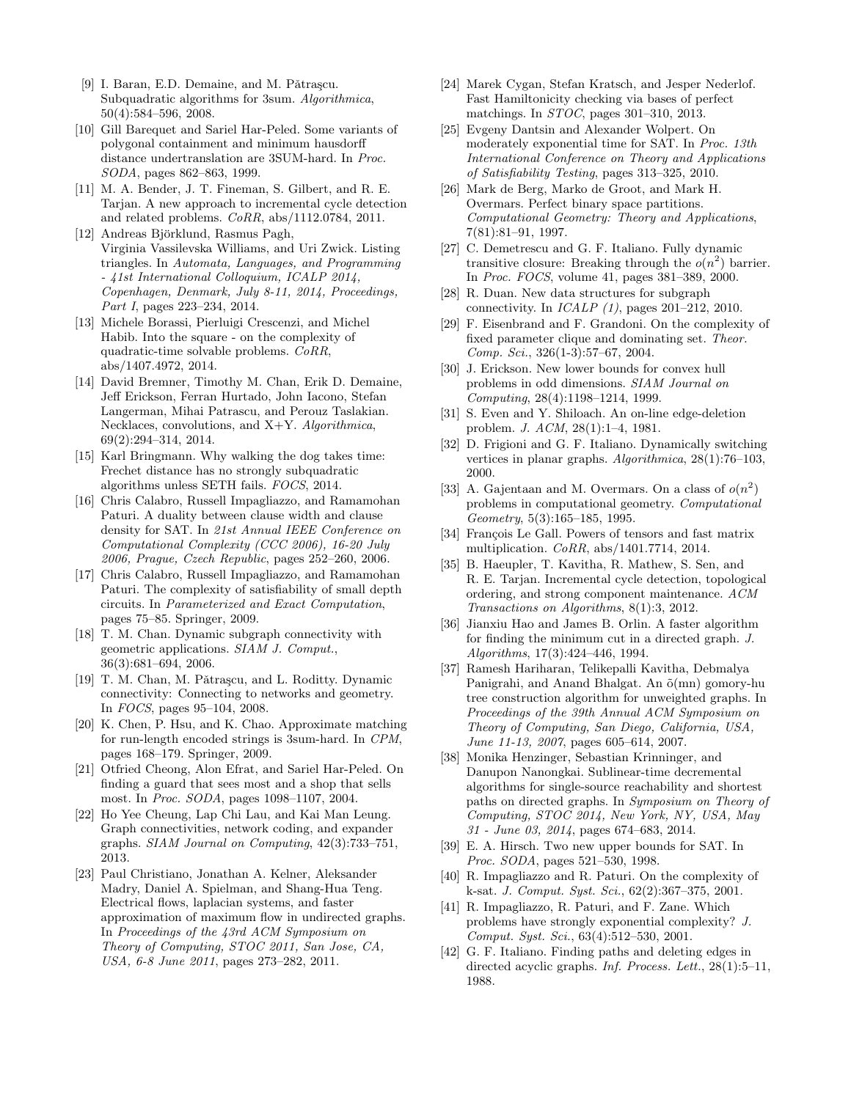- [9] I. Baran, E.D. Demaine, and M. Pǎtraşcu. Subquadratic algorithms for 3sum. Algorithmica, 50(4):584–596, 2008.
- [10] Gill Barequet and Sariel Har-Peled. Some variants of polygonal containment and minimum hausdorff distance undertranslation are 3SUM-hard. In Proc. SODA, pages 862–863, 1999.
- [11] M. A. Bender, J. T. Fineman, S. Gilbert, and R. E. Tarjan. A new approach to incremental cycle detection and related problems. CoRR, abs/1112.0784, 2011.
- [12] Andreas Björklund, Rasmus Pagh, Virginia Vassilevska Williams, and Uri Zwick. Listing triangles. In Automata, Languages, and Programming - 41st International Colloquium, ICALP 2014, Copenhagen, Denmark, July 8-11, 2014, Proceedings, Part I, pages 223–234, 2014.
- [13] Michele Borassi, Pierluigi Crescenzi, and Michel Habib. Into the square - on the complexity of quadratic-time solvable problems. CoRR, abs/1407.4972, 2014.
- [14] David Bremner, Timothy M. Chan, Erik D. Demaine, Jeff Erickson, Ferran Hurtado, John Iacono, Stefan Langerman, Mihai Patrascu, and Perouz Taslakian. Necklaces, convolutions, and X+Y. Algorithmica, 69(2):294–314, 2014.
- [15] Karl Bringmann. Why walking the dog takes time: Frechet distance has no strongly subquadratic algorithms unless SETH fails. FOCS, 2014.
- [16] Chris Calabro, Russell Impagliazzo, and Ramamohan Paturi. A duality between clause width and clause density for SAT. In 21st Annual IEEE Conference on Computational Complexity (CCC 2006), 16-20 July 2006, Prague, Czech Republic, pages 252–260, 2006.
- [17] Chris Calabro, Russell Impagliazzo, and Ramamohan Paturi. The complexity of satisfiability of small depth circuits. In Parameterized and Exact Computation, pages 75–85. Springer, 2009.
- [18] T. M. Chan. Dynamic subgraph connectivity with geometric applications. SIAM J. Comput., 36(3):681–694, 2006.
- [19] T. M. Chan, M. Pǎtrașcu, and L. Roditty. Dynamic connectivity: Connecting to networks and geometry. In FOCS, pages 95–104, 2008.
- [20] K. Chen, P. Hsu, and K. Chao. Approximate matching for run-length encoded strings is 3sum-hard. In CPM, pages 168–179. Springer, 2009.
- [21] Otfried Cheong, Alon Efrat, and Sariel Har-Peled. On finding a guard that sees most and a shop that sells most. In Proc. SODA, pages 1098–1107, 2004.
- [22] Ho Yee Cheung, Lap Chi Lau, and Kai Man Leung. Graph connectivities, network coding, and expander graphs. SIAM Journal on Computing, 42(3):733–751, 2013.
- [23] Paul Christiano, Jonathan A. Kelner, Aleksander Madry, Daniel A. Spielman, and Shang-Hua Teng. Electrical flows, laplacian systems, and faster approximation of maximum flow in undirected graphs. In Proceedings of the 43rd ACM Symposium on Theory of Computing, STOC 2011, San Jose, CA, USA, 6-8 June 2011, pages 273–282, 2011.
- [24] Marek Cygan, Stefan Kratsch, and Jesper Nederlof. Fast Hamiltonicity checking via bases of perfect matchings. In STOC, pages 301–310, 2013.
- [25] Evgeny Dantsin and Alexander Wolpert. On moderately exponential time for SAT. In Proc. 13th International Conference on Theory and Applications of Satisfiability Testing, pages 313–325, 2010.
- [26] Mark de Berg, Marko de Groot, and Mark H. Overmars. Perfect binary space partitions. Computational Geometry: Theory and Applications, 7(81):81–91, 1997.
- [27] C. Demetrescu and G. F. Italiano. Fully dynamic transitive closure: Breaking through the  $o(n^2)$  barrier. In Proc. FOCS, volume 41, pages 381–389, 2000.
- [28] R. Duan. New data structures for subgraph connectivity. In  $ICALP$  (1), pages 201–212, 2010.
- [29] F. Eisenbrand and F. Grandoni. On the complexity of fixed parameter clique and dominating set. Theor. Comp. Sci., 326(1-3):57–67, 2004.
- [30] J. Erickson. New lower bounds for convex hull problems in odd dimensions. SIAM Journal on Computing, 28(4):1198–1214, 1999.
- [31] S. Even and Y. Shiloach. An on-line edge-deletion problem. J. ACM, 28(1):1–4, 1981.
- [32] D. Frigioni and G. F. Italiano. Dynamically switching vertices in planar graphs. Algorithmica, 28(1):76–103, 2000.
- [33] A. Gajentaan and M. Overmars. On a class of  $o(n^2)$ problems in computational geometry. Computational Geometry, 5(3):165–185, 1995.
- [34] François Le Gall. Powers of tensors and fast matrix multiplication. CoRR, abs/1401.7714, 2014.
- [35] B. Haeupler, T. Kavitha, R. Mathew, S. Sen, and R. E. Tarjan. Incremental cycle detection, topological ordering, and strong component maintenance. ACM Transactions on Algorithms, 8(1):3, 2012.
- [36] Jianxiu Hao and James B. Orlin. A faster algorithm for finding the minimum cut in a directed graph. J. Algorithms, 17(3):424–446, 1994.
- [37] Ramesh Hariharan, Telikepalli Kavitha, Debmalya Panigrahi, and Anand Bhalgat. An  $\tilde{o}(mn)$  gomory-hu tree construction algorithm for unweighted graphs. In Proceedings of the 39th Annual ACM Symposium on Theory of Computing, San Diego, California, USA, June 11-13, 2007, pages 605–614, 2007.
- [38] Monika Henzinger, Sebastian Krinninger, and Danupon Nanongkai. Sublinear-time decremental algorithms for single-source reachability and shortest paths on directed graphs. In Symposium on Theory of Computing, STOC 2014, New York, NY, USA, May 31 - June 03, 2014, pages 674–683, 2014.
- [39] E. A. Hirsch. Two new upper bounds for SAT. In Proc. SODA, pages 521–530, 1998.
- [40] R. Impagliazzo and R. Paturi. On the complexity of k-sat. J. Comput. Syst. Sci., 62(2):367–375, 2001.
- [41] R. Impagliazzo, R. Paturi, and F. Zane. Which problems have strongly exponential complexity? J. Comput. Syst. Sci., 63(4):512–530, 2001.
- [42] G. F. Italiano. Finding paths and deleting edges in directed acyclic graphs. *Inf. Process. Lett.*, 28(1):5–11, 1988.